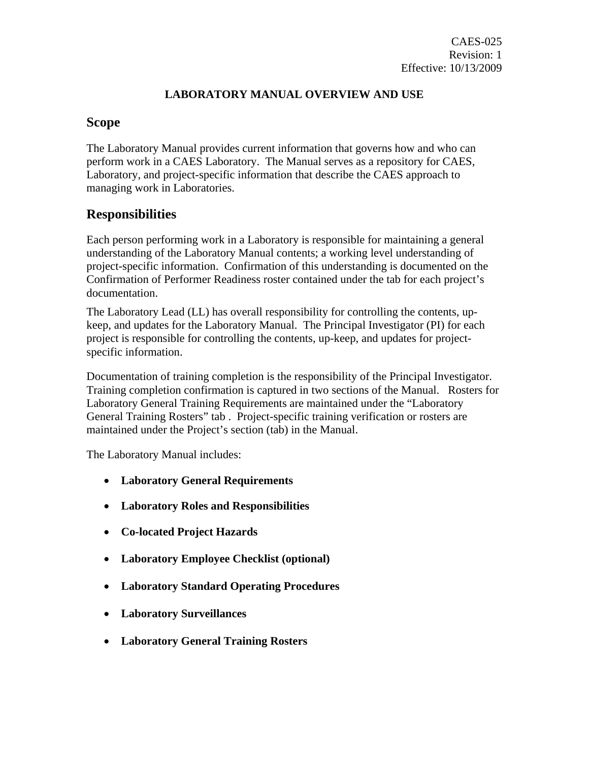## **LABORATORY MANUAL OVERVIEW AND USE**

## **Scope**

The Laboratory Manual provides current information that governs how and who can perform work in a CAES Laboratory. The Manual serves as a repository for CAES, Laboratory, and project-specific information that describe the CAES approach to managing work in Laboratories.

# **Responsibilities**

Each person performing work in a Laboratory is responsible for maintaining a general understanding of the Laboratory Manual contents; a working level understanding of project-specific information. Confirmation of this understanding is documented on the Confirmation of Performer Readiness roster contained under the tab for each project's documentation.

The Laboratory Lead (LL) has overall responsibility for controlling the contents, upkeep, and updates for the Laboratory Manual. The Principal Investigator (PI) for each project is responsible for controlling the contents, up-keep, and updates for projectspecific information.

Documentation of training completion is the responsibility of the Principal Investigator. Training completion confirmation is captured in two sections of the Manual. Rosters for Laboratory General Training Requirements are maintained under the "Laboratory General Training Rosters" tab . Project-specific training verification or rosters are maintained under the Project's section (tab) in the Manual.

The Laboratory Manual includes:

- **Laboratory General Requirements**
- **Laboratory Roles and Responsibilities**
- **Co-located Project Hazards**
- **Laboratory Employee Checklist (optional)**
- **Laboratory Standard Operating Procedures**
- **Laboratory Surveillances**
- **Laboratory General Training Rosters**